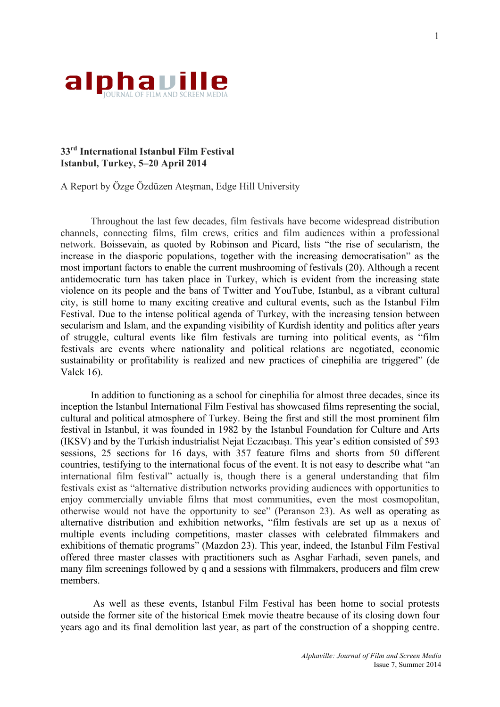

## **33rd International Istanbul Film Festival Istanbul, Turkey, 5–20 April 2014**

A Report by Özge Özdüzen Ateşman, Edge Hill University

Throughout the last few decades, film festivals have become widespread distribution channels, connecting films, film crews, critics and film audiences within a professional network. Boissevain, as quoted by Robinson and Picard, lists "the rise of secularism, the increase in the diasporic populations, together with the increasing democratisation" as the most important factors to enable the current mushrooming of festivals (20). Although a recent antidemocratic turn has taken place in Turkey, which is evident from the increasing state violence on its people and the bans of Twitter and YouTube, Istanbul, as a vibrant cultural city, is still home to many exciting creative and cultural events, such as the Istanbul Film Festival. Due to the intense political agenda of Turkey, with the increasing tension between secularism and Islam, and the expanding visibility of Kurdish identity and politics after years of struggle, cultural events like film festivals are turning into political events, as "film festivals are events where nationality and political relations are negotiated, economic sustainability or profitability is realized and new practices of cinephilia are triggered" (de Valck 16).

In addition to functioning as a school for cinephilia for almost three decades, since its inception the Istanbul International Film Festival has showcased films representing the social, cultural and political atmosphere of Turkey. Being the first and still the most prominent film festival in Istanbul, it was founded in 1982 by the Istanbul Foundation for Culture and Arts (IKSV) and by the Turkish industrialist Nejat Eczacıbaşı. This year's edition consisted of 593 sessions, 25 sections for 16 days, with 357 feature films and shorts from 50 different countries, testifying to the international focus of the event. It is not easy to describe what "an international film festival" actually is, though there is a general understanding that film festivals exist as "alternative distribution networks providing audiences with opportunities to enjoy commercially unviable films that most communities, even the most cosmopolitan, otherwise would not have the opportunity to see" (Peranson 23). As well as operating as alternative distribution and exhibition networks, "film festivals are set up as a nexus of multiple events including competitions, master classes with celebrated filmmakers and exhibitions of thematic programs" (Mazdon 23). This year, indeed, the Istanbul Film Festival offered three master classes with practitioners such as Asghar Farhadi, seven panels, and many film screenings followed by q and a sessions with filmmakers, producers and film crew members.

As well as these events, Istanbul Film Festival has been home to social protests outside the former site of the historical Emek movie theatre because of its closing down four years ago and its final demolition last year, as part of the construction of a shopping centre.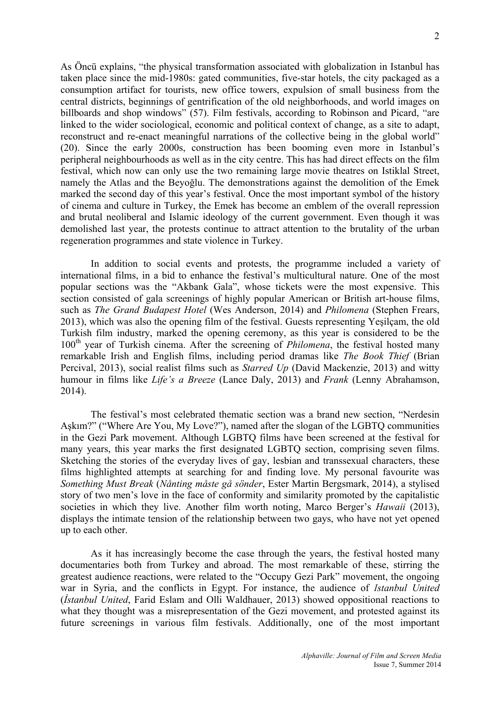As Öncü explains, "the physical transformation associated with globalization in Istanbul has taken place since the mid-1980s: gated communities, five-star hotels, the city packaged as a consumption artifact for tourists, new office towers, expulsion of small business from the central districts, beginnings of gentrification of the old neighborhoods, and world images on billboards and shop windows" (57). Film festivals, according to Robinson and Picard, "are linked to the wider sociological, economic and political context of change, as a site to adapt, reconstruct and re-enact meaningful narrations of the collective being in the global world" (20). Since the early 2000s, construction has been booming even more in Istanbul's peripheral neighbourhoods as well as in the city centre. This has had direct effects on the film festival, which now can only use the two remaining large movie theatres on Istiklal Street, namely the Atlas and the Beyoğlu. The demonstrations against the demolition of the Emek marked the second day of this year's festival. Once the most important symbol of the history of cinema and culture in Turkey, the Emek has become an emblem of the overall repression and brutal neoliberal and Islamic ideology of the current government. Even though it was demolished last year, the protests continue to attract attention to the brutality of the urban regeneration programmes and state violence in Turkey.

In addition to social events and protests, the programme included a variety of international films, in a bid to enhance the festival's multicultural nature. One of the most popular sections was the "Akbank Gala", whose tickets were the most expensive. This section consisted of gala screenings of highly popular American or British art-house films, such as *The Grand Budapest Hotel* (Wes Anderson, 2014) and *Philomena* (Stephen Frears, 2013), which was also the opening film of the festival. Guests representing Yeşilçam, the old Turkish film industry, marked the opening ceremony, as this year is considered to be the 100th year of Turkish cinema. After the screening of *Philomena*, the festival hosted many remarkable Irish and English films, including period dramas like *The Book Thief* (Brian Percival, 2013), social realist films such as *Starred Up* (David Mackenzie, 2013) and witty humour in films like *Life's a Breeze* (Lance Daly, 2013) and *Frank* (Lenny Abrahamson, 2014).

The festival's most celebrated thematic section was a brand new section, "Nerdesin Aşkım?" ("Where Are You, My Love?"), named after the slogan of the LGBTQ communities in the Gezi Park movement. Although LGBTQ films have been screened at the festival for many years, this year marks the first designated LGBTQ section, comprising seven films. Sketching the stories of the everyday lives of gay, lesbian and transsexual characters, these films highlighted attempts at searching for and finding love. My personal favourite was *Something Must Break* (*Nånting måste gå sönder*, Ester Martin Bergsmark, 2014), a stylised story of two men's love in the face of conformity and similarity promoted by the capitalistic societies in which they live. Another film worth noting, Marco Berger's *Hawaii* (2013), displays the intimate tension of the relationship between two gays, who have not yet opened up to each other.

As it has increasingly become the case through the years, the festival hosted many documentaries both from Turkey and abroad. The most remarkable of these, stirring the greatest audience reactions, were related to the "Occupy Gezi Park" movement, the ongoing war in Syria, and the conflicts in Egypt. For instance, the audience of *Istanbul United* (*İstanbul United*, Farid Eslam and Olli Waldhauer, 2013) showed oppositional reactions to what they thought was a misrepresentation of the Gezi movement, and protested against its future screenings in various film festivals. Additionally, one of the most important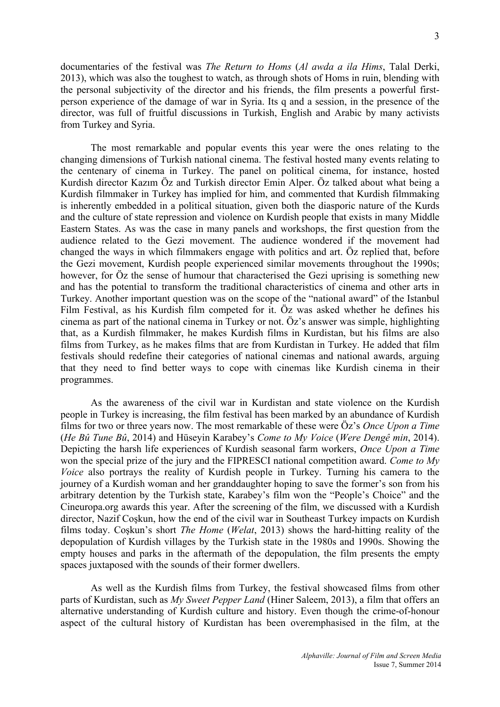documentaries of the festival was *The Return to Homs* (*Al awda a ila Hims*, Talal Derki, 2013), which was also the toughest to watch, as through shots of Homs in ruin, blending with the personal subjectivity of the director and his friends, the film presents a powerful firstperson experience of the damage of war in Syria. Its q and a session, in the presence of the director, was full of fruitful discussions in Turkish, English and Arabic by many activists from Turkey and Syria.

The most remarkable and popular events this year were the ones relating to the changing dimensions of Turkish national cinema. The festival hosted many events relating to the centenary of cinema in Turkey. The panel on political cinema, for instance, hosted Kurdish director Kazım Öz and Turkish director Emin Alper. Öz talked about what being a Kurdish filmmaker in Turkey has implied for him, and commented that Kurdish filmmaking is inherently embedded in a political situation, given both the diasporic nature of the Kurds and the culture of state repression and violence on Kurdish people that exists in many Middle Eastern States. As was the case in many panels and workshops, the first question from the audience related to the Gezi movement. The audience wondered if the movement had changed the ways in which filmmakers engage with politics and art. Öz replied that, before the Gezi movement, Kurdish people experienced similar movements throughout the 1990s; however, for Öz the sense of humour that characterised the Gezi uprising is something new and has the potential to transform the traditional characteristics of cinema and other arts in Turkey. Another important question was on the scope of the "national award" of the Istanbul Film Festival, as his Kurdish film competed for it. Öz was asked whether he defines his cinema as part of the national cinema in Turkey or not. Öz's answer was simple, highlighting that, as a Kurdish filmmaker, he makes Kurdish films in Kurdistan, but his films are also films from Turkey, as he makes films that are from Kurdistan in Turkey. He added that film festivals should redefine their categories of national cinemas and national awards, arguing that they need to find better ways to cope with cinemas like Kurdish cinema in their programmes.

As the awareness of the civil war in Kurdistan and state violence on the Kurdish people in Turkey is increasing, the film festival has been marked by an abundance of Kurdish films for two or three years now. The most remarkable of these were Öz's *Once Upon a Time* (*He Bû Tune Bû*, 2014) and Hüseyin Karabey's *Come to My Voice* (*Were Dengê min*, 2014). Depicting the harsh life experiences of Kurdish seasonal farm workers, *Once Upon a Time* won the special prize of the jury and the FIPRESCI national competition award. *Come to My Voice* also portrays the reality of Kurdish people in Turkey. Turning his camera to the journey of a Kurdish woman and her granddaughter hoping to save the former's son from his arbitrary detention by the Turkish state, Karabey's film won the "People's Choice" and the Cineuropa.org awards this year. After the screening of the film, we discussed with a Kurdish director, Nazif Coşkun, how the end of the civil war in Southeast Turkey impacts on Kurdish films today. Coşkun's short *The Home* (*Welat*, 2013) shows the hard-hitting reality of the depopulation of Kurdish villages by the Turkish state in the 1980s and 1990s. Showing the empty houses and parks in the aftermath of the depopulation, the film presents the empty spaces juxtaposed with the sounds of their former dwellers.

As well as the Kurdish films from Turkey, the festival showcased films from other parts of Kurdistan, such as *My Sweet Pepper Land* (Hiner Saleem, 2013), a film that offers an alternative understanding of Kurdish culture and history. Even though the crime-of-honour aspect of the cultural history of Kurdistan has been overemphasised in the film, at the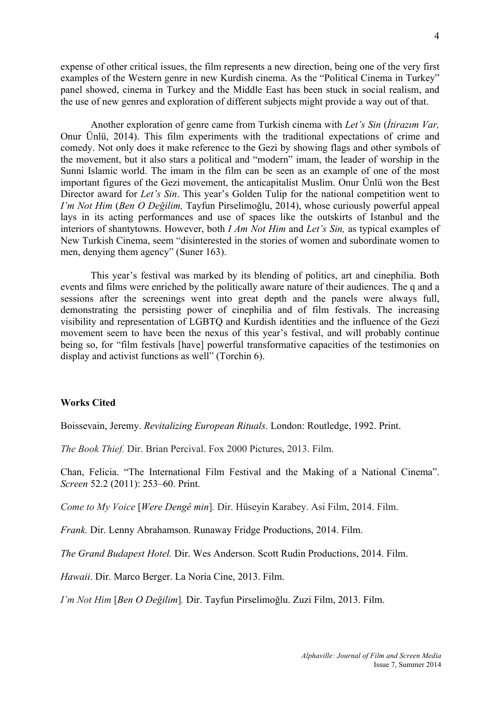expense of other critical issues, the film represents a new direction, being one of the very first examples of the Western genre in new Kurdish cinema. As the "Political Cinema in Turkey" panel showed, cinema in Turkey and the Middle East has been stuck in social realism, and the use of new genres and exploration of different subjects might provide a way out of that.

Another exploration of genre came from Turkish cinema with *Let's Sin* (*İtirazım Var,* Onur Ünlü, 2014). This film experiments with the traditional expectations of crime and comedy. Not only does it make reference to the Gezi by showing flags and other symbols of the movement, but it also stars a political and "modern" imam, the leader of worship in the Sunni Islamic world. The imam in the film can be seen as an example of one of the most important figures of the Gezi movement, the anticapitalist Muslim. Onur Ünlü won the Best Director award for *Let's Sin*. This year's Golden Tulip for the national competition went to *I'm Not Him* (*Ben O Değilim,* Tayfun Pirselimoğlu, 2014), whose curiously powerful appeal lays in its acting performances and use of spaces like the outskirts of Istanbul and the interiors of shantytowns. However, both *I Am Not Him* and *Let's Sin,* as typical examples of New Turkish Cinema, seem "disinterested in the stories of women and subordinate women to men, denying them agency" (Suner 163).

This year's festival was marked by its blending of politics, art and cinephilia. Both events and films were enriched by the politically aware nature of their audiences. The q and a sessions after the screenings went into great depth and the panels were always full, demonstrating the persisting power of cinephilia and of film festivals. The increasing visibility and representation of LGBTQ and Kurdish identities and the influence of the Gezi movement seem to have been the nexus of this year's festival, and will probably continue being so, for "film festivals [have] powerful transformative capacities of the testimonies on display and activist functions as well" (Torchin 6).

## **Works Cited**

Boissevain, Jeremy. *Revitalizing European Rituals*. London: Routledge, 1992. Print.

*The Book Thief.* Dir. Brian Percival. Fox 2000 Pictures, 2013. Film.

Chan, Felicia. "The International Film Festival and the Making of a National Cinema". *Screen* 52.2 (2011): 253–60. Print.

*Come to My Voice* [*Were Dengê min*]*.* Dir. Hüseyin Karabey. Asi Film, 2014. Film.

*Frank.* Dir. Lenny Abrahamson. Runaway Fridge Productions, 2014. Film.

*The Grand Budapest Hotel.* Dir. Wes Anderson. Scott Rudin Productions, 2014. Film.

*Hawaii*. Dir. Marco Berger. La Noria Cine, 2013. Film.

*I'm Not Him* [*Ben O Değilim*]*.* Dir. Tayfun Pirselimoğlu. Zuzi Film, 2013. Film.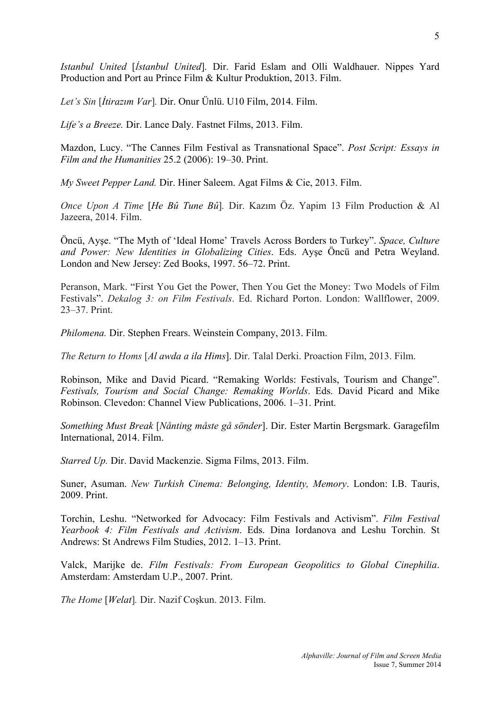*Istanbul United* [*İstanbul United*]*.* Dir. Farid Eslam and Olli Waldhauer. Nippes Yard Production and Port au Prince Film & Kultur Produktion, 2013. Film.

*Let's Sin* [*İtirazım Var*]*.* Dir. Onur Ünlü. U10 Film, 2014. Film.

*Life's a Breeze.* Dir. Lance Daly. Fastnet Films, 2013. Film.

Mazdon, Lucy. "The Cannes Film Festival as Transnational Space". *Post Script: Essays in Film and the Humanities* 25.2 (2006): 19–30. Print.

*My Sweet Pepper Land.* Dir. Hiner Saleem. Agat Films & Cie, 2013. Film.

*Once Upon A Time* [*He Bû Tune Bû*]*.* Dir. Kazım Öz. Yapim 13 Film Production & Al Jazeera, 2014. Film.

Öncü, Ayşe. "The Myth of 'Ideal Home' Travels Across Borders to Turkey". *Space, Culture and Power: New Identities in Globalizing Cities*. Eds. Ayşe Öncü and Petra Weyland. London and New Jersey: Zed Books, 1997. 56–72. Print.

Peranson, Mark. "First You Get the Power, Then You Get the Money: Two Models of Film Festivals". *Dekalog 3: on Film Festivals*. Ed. Richard Porton. London: Wallflower, 2009. 23–37. Print.

*Philomena.* Dir. Stephen Frears. Weinstein Company, 2013. Film.

*The Return to Homs* [*Al awda a ila Hims*]. Dir. Talal Derki. Proaction Film, 2013. Film.

Robinson, Mike and David Picard. "Remaking Worlds: Festivals, Tourism and Change". *Festivals, Tourism and Social Change: Remaking Worlds*. Eds. David Picard and Mike Robinson. Clevedon: Channel View Publications, 2006. 1–31. Print.

*Something Must Break* [*Nånting måste gå sönder*]. Dir. Ester Martin Bergsmark. Garagefilm International, 2014. Film.

*Starred Up.* Dir. David Mackenzie. Sigma Films, 2013. Film.

Suner, Asuman. *New Turkish Cinema: Belonging, Identity, Memory*. London: I.B. Tauris, 2009. Print.

Torchin, Leshu. "Networked for Advocacy: Film Festivals and Activism". *Film Festival Yearbook 4: Film Festivals and Activism*. Eds. Dina Iordanova and Leshu Torchin. St Andrews: St Andrews Film Studies, 2012. 1–13. Print.

Valck, Marijke de. *Film Festivals: From European Geopolitics to Global Cinephilia*. Amsterdam: Amsterdam U.P., 2007. Print.

*The Home* [*Welat*]*.* Dir. Nazif Coşkun. 2013. Film.